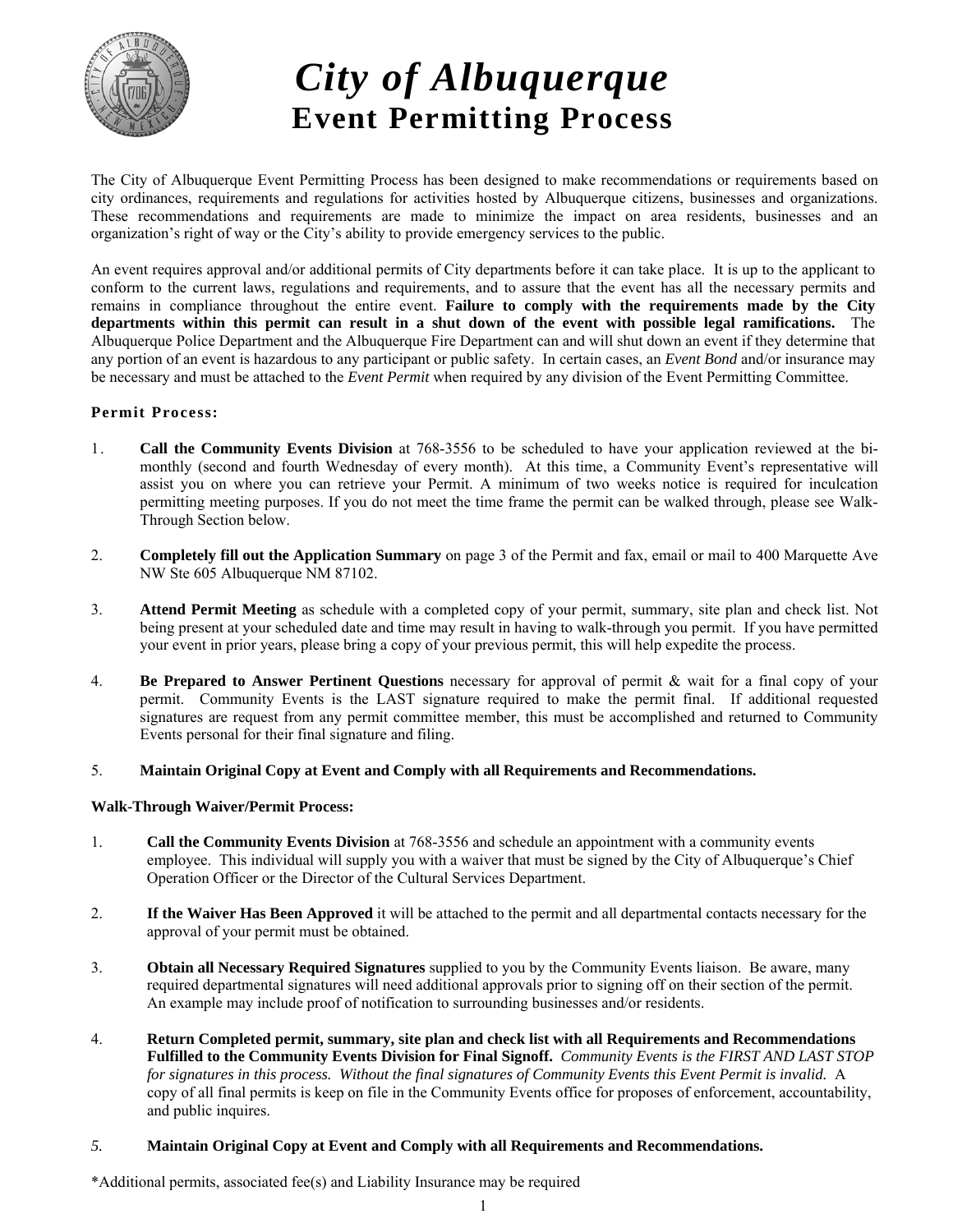

# *City of Albuquerque*  **Event Permitting Process**

The City of Albuquerque Event Permitting Process has been designed to make recommendations or requirements based on city ordinances, requirements and regulations for activities hosted by Albuquerque citizens, businesses and organizations. These recommendations and requirements are made to minimize the impact on area residents, businesses and an organization's right of way or the City's ability to provide emergency services to the public.

An event requires approval and/or additional permits of City departments before it can take place. It is up to the applicant to conform to the current laws, regulations and requirements, and to assure that the event has all the necessary permits and remains in compliance throughout the entire event. **Failure to comply with the requirements made by the City departments within this permit can result in a shut down of the event with possible legal ramifications.** The Albuquerque Police Department and the Albuquerque Fire Department can and will shut down an event if they determine that any portion of an event is hazardous to any participant or public safety. In certain cases, an *Event Bond* and/or insurance may be necessary and must be attached to the *Event Permit* when required by any division of the Event Permitting Committee.

#### **Permit Process:**

- 1. **Call the Community Events Division** at 768-3556 to be scheduled to have your application reviewed at the bi monthly (second and fourth Wednesday of every month). At this time, a Community Event's representative will assist you on where you can retrieve your Permit. A minimum of two weeks notice is required for inculcation permitting meeting purposes. If you do not meet the time frame the permit can be walked through, please see Walk- Through Section below.
- 2. **Completely fill out the Application Summary** on page 3 of the Permit and fax, email or mail to 400 Marquette Ave NW Ste 605 Albuquerque NM 87102.
- 3. **Attend Permit Meeting** as schedule with a completed copy of your permit, summary, site plan and check list. Not being present at your scheduled date and time may result in having to walk-through you permit. If you have permitted your event in prior years, please bring a copy of your previous permit, this will help expedite the process.
- 4. **Be Prepared to Answer Pertinent Questions** necessary for approval of permit & wait for a final copy of your permit. Community Events is the LAST signature required to make the permit final. If additional requested signatures are request from any permit committee member, this must be accomplished and returned to Community Events personal for their final signature and filing.

#### 5. **Maintain Original Copy at Event and Comply with all Requirements and Recommendations.**

#### **Walk-Through Waiver/Permit Process:**

- 1. **Call the Community Events Division** at 768-3556 and schedule an appointment with a community events employee. This individual will supply you with a waiver that must be signed by the City of Albuquerque's Chief Operation Officer or the Director of the Cultural Services Department.
- 2. **If the Waiver Has Been Approved** it will be attached to the permit and all departmental contacts necessary for the approval of your permit must be obtained.
- 3. **Obtain all Necessary Required Signatures** supplied to you by the Community Events liaison. Be aware, many required departmental signatures will need additional approvals prior to signing off on their section of the permit. An example may include proof of notification to surrounding businesses and/or residents.
- 4. **Return Completed permit, summary, site plan and check list with all Requirements and Recommendations Fulfilled to the Community Events Division for Final Signoff.** *Community Events is the FIRST AND LAST STOP for signatures in this process. Without the final signatures of Community Events this Event Permit is invalid.* A copy of all final permits is keep on file in the Community Events office for proposes of enforcement, accountability, and public inquires.
- *5.* **Maintain Original Copy at Event and Comply with all Requirements and Recommendations.**

\*Additional permits, associated fee(s) and Liability Insurance may be required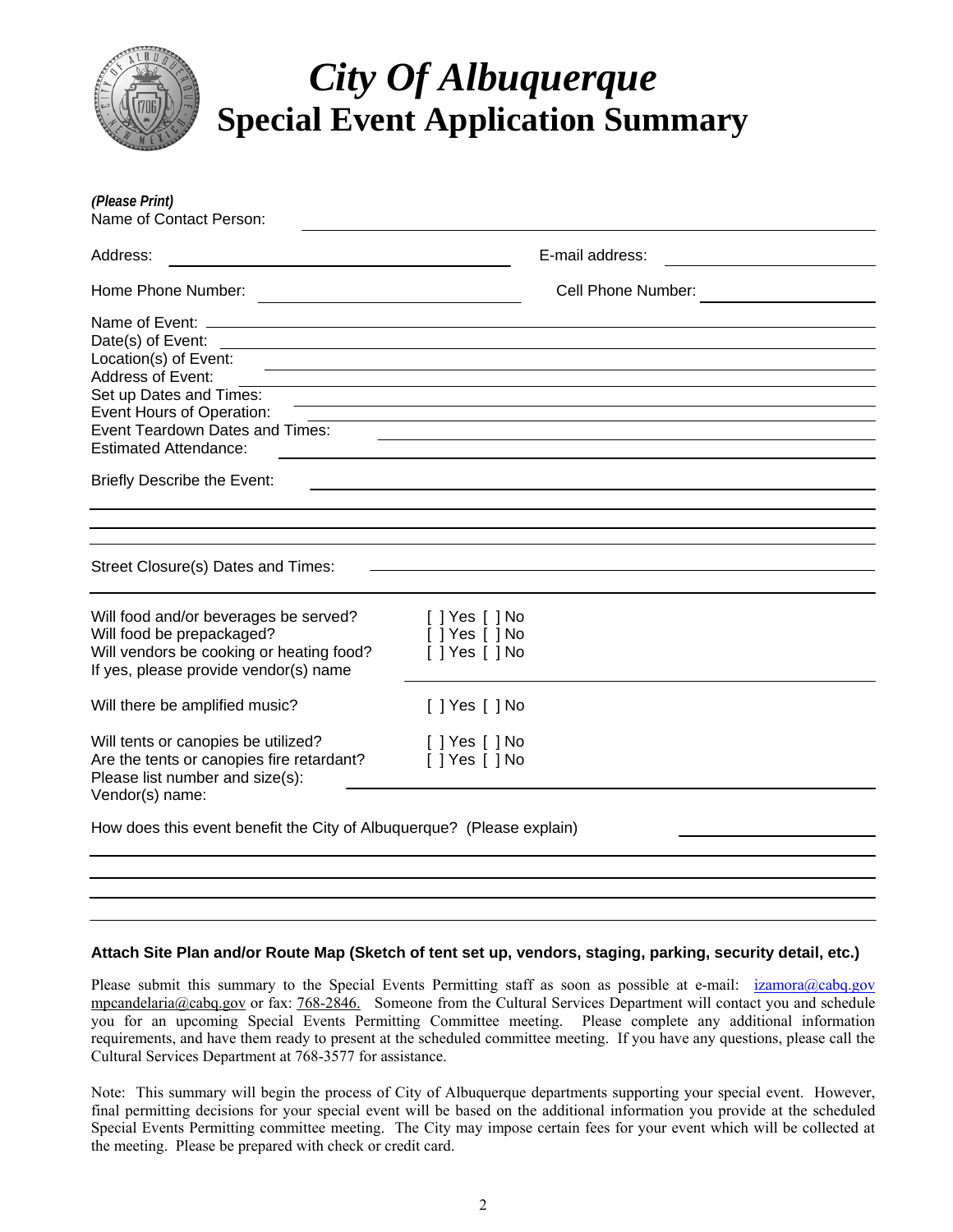

# *City Of Albuquerque*  **Special Event Application Summary**

| (Please Print)<br>Name of Contact Person:                                                                                                                                                  |                                                    |
|--------------------------------------------------------------------------------------------------------------------------------------------------------------------------------------------|----------------------------------------------------|
| Address:                                                                                                                                                                                   | E-mail address:                                    |
| Home Phone Number:                                                                                                                                                                         | Cell Phone Number:                                 |
| Date(s) of Event:<br>Location(s) of Event:<br>Address of Event:<br>Set up Dates and Times:<br>Event Hours of Operation:<br>Event Teardown Dates and Times:<br><b>Estimated Attendance:</b> |                                                    |
| <b>Briefly Describe the Event:</b>                                                                                                                                                         |                                                    |
| Street Closure(s) Dates and Times:                                                                                                                                                         |                                                    |
| Will food and/or beverages be served?<br>Will food be prepackaged?<br>Will vendors be cooking or heating food?<br>If yes, please provide vendor(s) name                                    | [ ] Yes [ ] No<br>[ ] Yes [ ] No<br>[ ] Yes [ ] No |
| Will there be amplified music?                                                                                                                                                             | $[$ ] Yes $[$ ] No                                 |
| Will tents or canopies be utilized?<br>Are the tents or canopies fire retardant?<br>Please list number and size(s):<br>Vendor(s) name:                                                     | $[$ ] Yes $[$ ] No<br>[ ] Yes [ ] No               |
| How does this event benefit the City of Albuquerque? (Please explain)                                                                                                                      |                                                    |
|                                                                                                                                                                                            |                                                    |
|                                                                                                                                                                                            |                                                    |

#### **Attach Site Plan and/or Route Map (Sketch of tent set up, vendors, staging, parking, security detail, etc.)**

Please submit this summary to the Special Events Permitting staff as soon as possible at e-mail: [izamora@cabq.gov](mailto:izamora@cabq.gov) [mpcandelaria@cabq.gov](mailto:mpcandelaria@cabq.gov) or fax: 768-2846. Someone from the Cultural Services Department will contact you and schedule you for an upcoming Special Events Permitting Committee meeting. Please complete any additional information requirements, and have them ready to present at the scheduled committee meeting. If you have any questions, please call the Cultural Services Department at 768-3577 for assistance.

Note: This summary will begin the process of City of Albuquerque departments supporting your special event. However, final permitting decisions for your special event will be based on the additional information you provide at the scheduled Special Events Permitting committee meeting. The City may impose certain fees for your event which will be collected at the meeting. Please be prepared with check or credit card.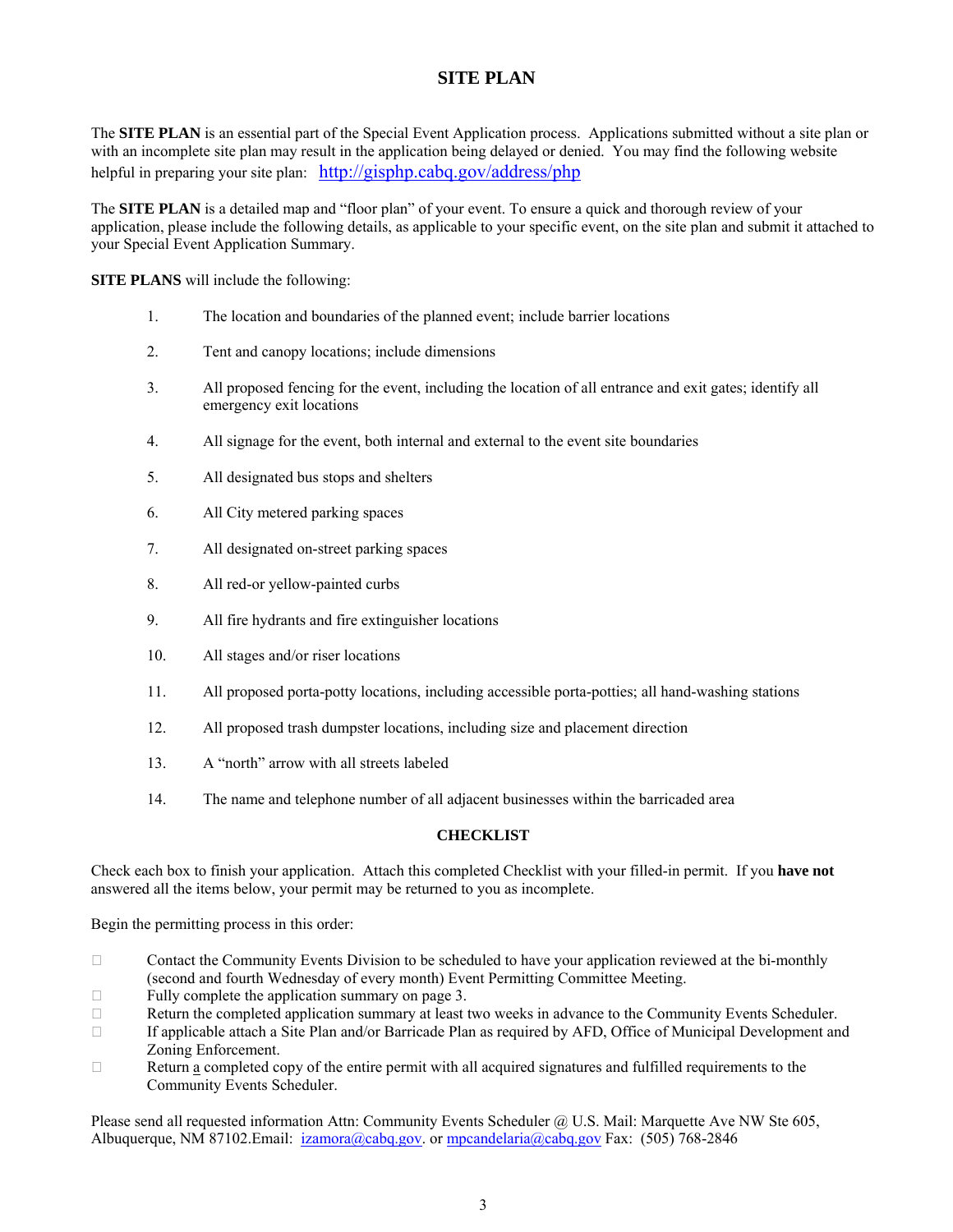#### **SITE PLAN**

The **SITE PLAN** is an essential part of the Special Event Application process. Applications submitted without a site plan or with an incomplete site plan may result in the application being delayed or denied. You may find the following website helpful in preparing your site plan: <http://gisphp.cabq.gov/address/php>

The **SITE PLAN** is a detailed map and "floor plan" of your event. To ensure a quick and thorough review of your application, please include the following details, as applicable to your specific event, on the site plan and submit it attached to your Special Event Application Summary.

**SITE PLANS** will include the following:

- 1. The location and boundaries of the planned event; include barrier locations
- 2. Tent and canopy locations; include dimensions
- 3. All proposed fencing for the event, including the location of all entrance and exit gates; identify all emergency exit locations
- 4. All signage for the event, both internal and external to the event site boundaries
- 5. All designated bus stops and shelters
- 6. All City metered parking spaces
- 7. All designated on-street parking spaces
- 8. All red-or yellow-painted curbs
- 9. All fire hydrants and fire extinguisher locations
- 10. All stages and/or riser locations
- 11. All proposed porta-potty locations, including accessible porta-potties; all hand-washing stations
- 12. All proposed trash dumpster locations, including size and placement direction
- 13. A "north" arrow with all streets labeled
- 14. The name and telephone number of all adjacent businesses within the barricaded area

#### **CHECKLIST**

Check each box to finish your application. Attach this completed Checklist with your filled-in permit. If you **have not** answered all the items below, your permit may be returned to you as incomplete.

Begin the permitting process in this order:

- $\Box$  Contact the Community Events Division to be scheduled to have your application reviewed at the bi-monthly (second and fourth Wednesday of every month) Event Permitting Committee Meeting.
- $\Box$  Fully complete the application summary on page 3.
- $\Box$  Return the completed application summary at least two weeks in advance to the Community Events Scheduler.
- If applicable attach a Site Plan and/or Barricade Plan as required by AFD, Office of Municipal Development and Zoning Enforcement.
- $\Box$  Return <u>a</u> completed copy of the entire permit with all acquired signatures and fulfilled requirements to the Community Events Scheduler.

Please send all requested information Attn: Community Events Scheduler @ U.S. Mail: Marquette Ave NW Ste 605, Albuquerque, NM 87102.Email: [izamora@cabq.gov](mailto:izamora@cabq.gov). or [mpcandelaria@cabq.gov](mailto:mpcandelaria@cabq.gov) Fax: (505) 768-2846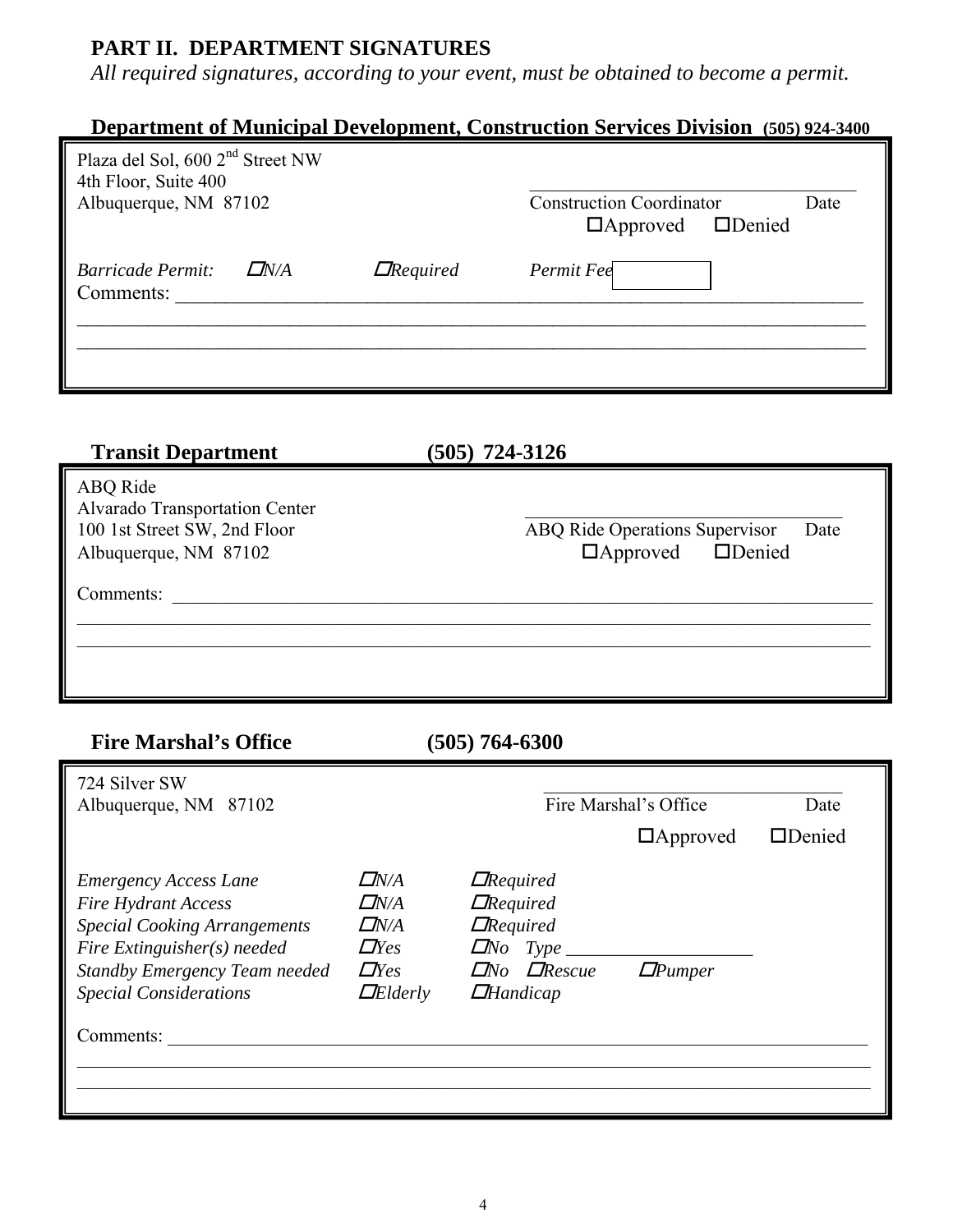#### **PART II. DEPARTMENT SIGNATURES**

*All required signatures, according to your event, must be obtained to become a permit.* 

## **Department of Municipal Development, Construction Services Division (505) 924-3400**

| Plaza del Sol, 600 2 <sup>nd</sup> Street NW<br>4th Floor, Suite 400<br>Albuquerque, NM 87102 |                 | <b>Construction Coordinator</b><br>Date<br>$\Box$ Denied<br>$\Box$ Approved |
|-----------------------------------------------------------------------------------------------|-----------------|-----------------------------------------------------------------------------|
| $\Box N/A$<br><b>Barricade Permit:</b><br>Comments:                                           | $\Box$ Required | Permit Fee                                                                  |

| <b>Transit Department</b>                                                                                  | (505) 724-3126                                                             |
|------------------------------------------------------------------------------------------------------------|----------------------------------------------------------------------------|
| ABQ Ride<br><b>Alvarado Transportation Center</b><br>100 1st Street SW, 2nd Floor<br>Albuquerque, NM 87102 | ABQ Ride Operations Supervisor<br>Date<br>$\Box$ Denied<br>$\Box$ Approved |
| Comments:                                                                                                  |                                                                            |
|                                                                                                            |                                                                            |
|                                                                                                            |                                                                            |

**Fire Marshal's Office (505) 764-6300** 

| 724 Silver SW<br>Albuquerque, NM 87102                                                                                                                                                                 |                                                                                             |                                                                                                                              | Fire Marshal's Office<br>$\Box$ Approved | Date<br>$\Box$ Denied |
|--------------------------------------------------------------------------------------------------------------------------------------------------------------------------------------------------------|---------------------------------------------------------------------------------------------|------------------------------------------------------------------------------------------------------------------------------|------------------------------------------|-----------------------|
| <b>Emergency Access Lane</b><br><b>Fire Hydrant Access</b><br><b>Special Cooking Arrangements</b><br>Fire Extinguisher( $s$ ) needed<br>Standby Emergency Team needed<br><b>Special Considerations</b> | $\Box N/A$<br>$\Box N/A$<br>$\Box N/A$<br>$\Box$ Yes<br>$\Box$ Yes<br>$\Box$ <i>Elderly</i> | $\Box$ Required<br>$\Box$ Required<br>$\Box$ Required<br>$\Box$ No Type $\Box$<br>$\Box$ No $\Box$ Rescue<br>$\Box$ Handicap | $\Box$ Pumper                            |                       |
| Comments:                                                                                                                                                                                              |                                                                                             |                                                                                                                              |                                          |                       |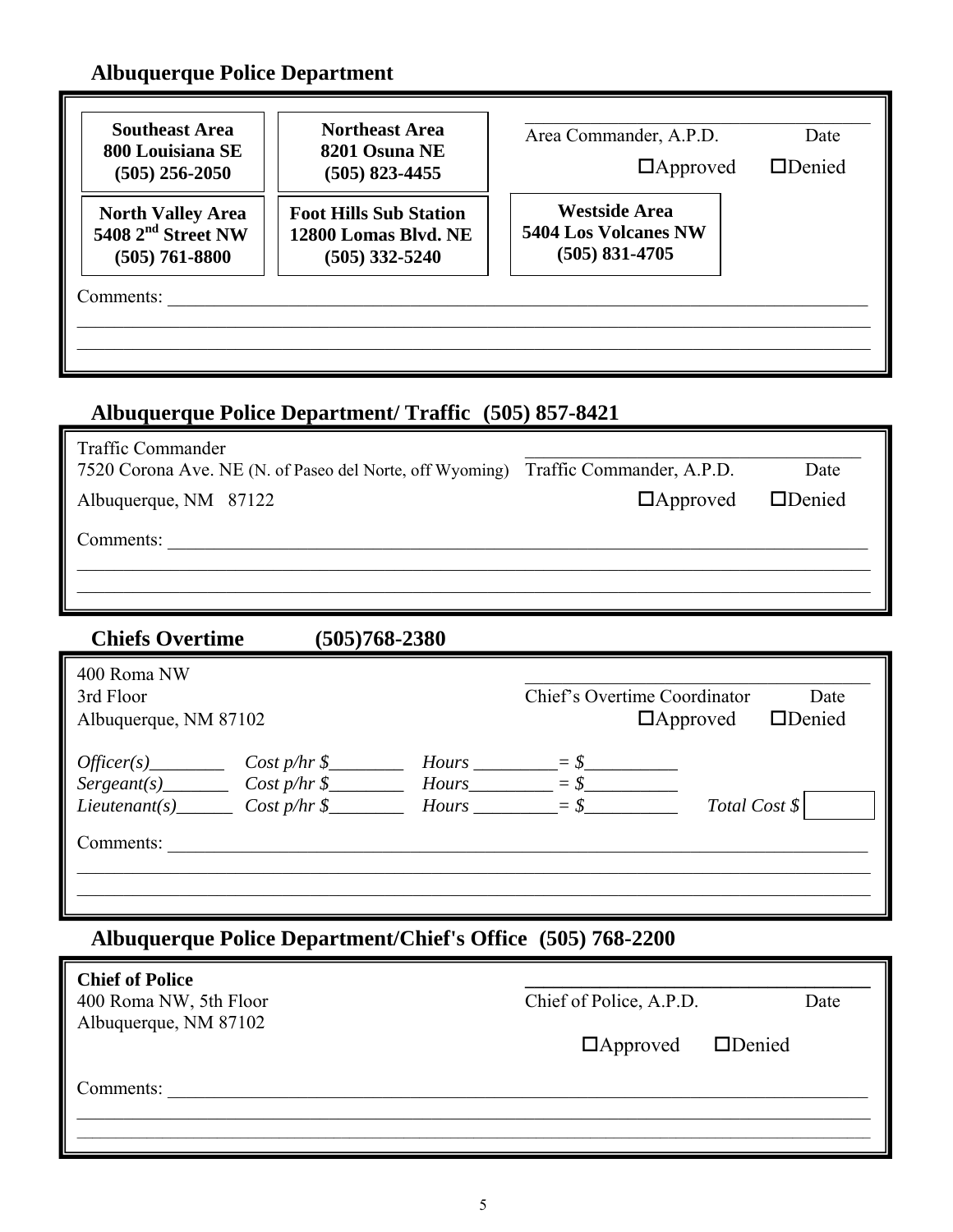## **Albuquerque Police Department**

| <b>Southeast Area</b><br>800 Louisiana SE<br>$(505)$ 256-2050                    | <b>Northeast Area</b><br>8201 Osuna NE<br>$(505)$ 823-4455                | Area Commander, A.P.D.<br>$\Box$ Approved                          | Date<br>$\Box$ Denied |
|----------------------------------------------------------------------------------|---------------------------------------------------------------------------|--------------------------------------------------------------------|-----------------------|
| <b>North Valley Area</b><br>5408 2 <sup>nd</sup> Street NW<br>$(505) 761 - 8800$ | <b>Foot Hills Sub Station</b><br>12800 Lomas Blvd. NE<br>$(505)$ 332-5240 | <b>Westside Area</b><br>5404 Los Volcanes NW<br>$(505) 831 - 4705$ |                       |
| Comments:                                                                        |                                                                           |                                                                    |                       |
|                                                                                  |                                                                           |                                                                    |                       |

## **Albuquerque Police Department/ Traffic (505) 857-8421**

| Traffic Commander<br>7520 Corona Ave. NE (N. of Paseo del Norte, off Wyoming) Traffic Commander, A.P.D. |                 | Date          |
|---------------------------------------------------------------------------------------------------------|-----------------|---------------|
| Albuquerque, NM 87122                                                                                   | $\Box$ Approved | $\Box$ Denied |
| Comments:                                                                                               |                 |               |
| Chiefs Overtime<br>(505)768-2380                                                                        |                 |               |

| CHRED O TEL GHIR                                  |                                                 | $\mathbf{v}$ , $\mathbf{v}$ , $\mathbf{v}$ , $\mathbf{v}$ |                                 |                                          |
|---------------------------------------------------|-------------------------------------------------|-----------------------------------------------------------|---------------------------------|------------------------------------------|
| 400 Roma NW<br>3rd Floor<br>Albuquerque, NM 87102 |                                                 |                                                           | Chief's Overtime Coordinator    | Date<br>$\Box$ Denied<br>$\Box$ Approved |
| Sergeant(s)<br>Lieutenant(s)                      | $Cost p/hr \$<br>$Cost p/hr \$<br>$Cost p/hr \$ | $Hours$ <sub>_____</sub><br>Hours                         | $Hours = $$<br>$=$ \$<br>$=$ \$ | Total Cost \$                            |
| Comments:                                         |                                                 |                                                           |                                 |                                          |

## **Albuquerque Police Department/Chief's Office (505) 768-2200**

| <b>Chief of Police</b><br>400 Roma NW, 5th Floor<br>Albuquerque, NM 87102 | Chief of Police, A.P.D. | Date          |
|---------------------------------------------------------------------------|-------------------------|---------------|
|                                                                           | $\Box$ Approved         | $\Box$ Denied |
| Comments:                                                                 |                         |               |
|                                                                           |                         |               |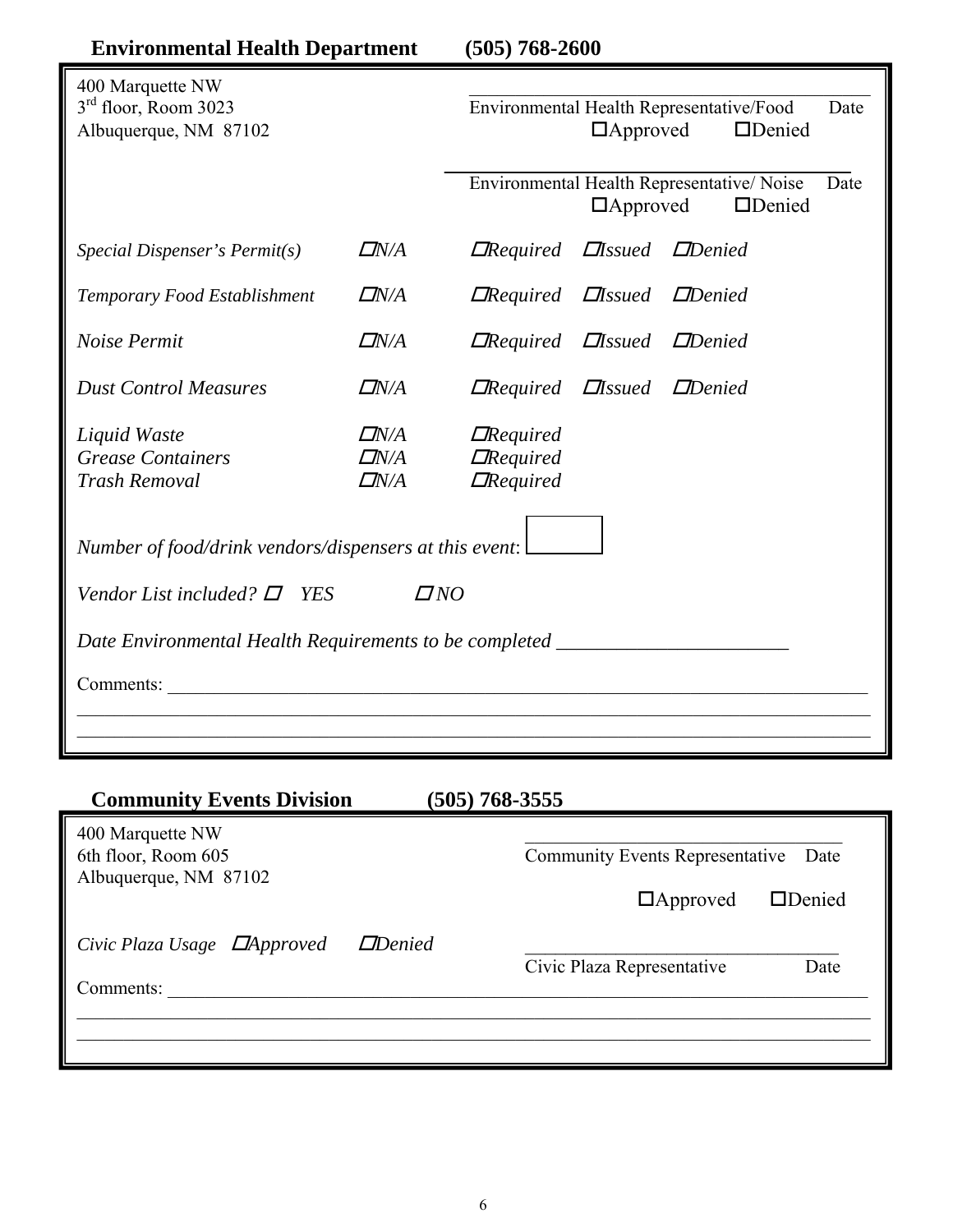| 400 Marquette NW<br>3 <sup>rd</sup> floor, Room 3023<br>Albuquerque, NM 87102    |                                        | Environmental Health Representative/Food<br>Environmental Health Representative/Noise | $\Box$ Approved<br>$\Box$ Approved |               | □Denied<br>$\Box$ Denied | Date<br>Date |
|----------------------------------------------------------------------------------|----------------------------------------|---------------------------------------------------------------------------------------|------------------------------------|---------------|--------------------------|--------------|
| Special Dispenser's Permit(s)                                                    | $\Box N/A$                             | $\Box$ Required $\Box$ Issued $\Box$ Denied                                           |                                    |               |                          |              |
| Temporary Food Establishment                                                     | $\Box N/A$                             | $\Box$ Required $\Box$ Issued                                                         |                                    | $\Box$ Denied |                          |              |
| Noise Permit                                                                     | $\Box N/A$                             | $\Box$ Required $\Box$ Issued $\Box$ Denied                                           |                                    |               |                          |              |
| <b>Dust Control Measures</b>                                                     | $\Box N/A$                             | $\Box$ Required                                                                       | $\Box$ Issued $\Box$ Denied        |               |                          |              |
| Liquid Waste<br><b>Grease Containers</b><br><b>Trash Removal</b>                 | $\Box N/A$<br>$\Box N/A$<br>$\Box N/A$ | $\Box$ Required<br>$\Box$ Required<br>$\Box$ Required                                 |                                    |               |                          |              |
| Number of food/drink vendors/dispensers at this event:                           |                                        |                                                                                       |                                    |               |                          |              |
| Vendor List included? $\Box$ YES                                                 | $C$ NO                                 |                                                                                       |                                    |               |                          |              |
| Date Environmental Health Requirements to be completed _________________________ |                                        |                                                                                       |                                    |               |                          |              |
| Comments:                                                                        |                                        |                                                                                       |                                    |               |                          |              |
|                                                                                  |                                        |                                                                                       |                                    |               |                          |              |

| <b>Community Events Division</b>                                 | $(505)$ 768-3555 |                                        |               |
|------------------------------------------------------------------|------------------|----------------------------------------|---------------|
| 400 Marquette NW<br>6th floor, Room 605<br>Albuquerque, NM 87102 |                  | <b>Community Events Representative</b> | Date          |
|                                                                  |                  | $\Box$ Approved                        | $\Box$ Denied |
| Civic Plaza Usage <b>Example</b> DApproved                       | $\Box$ Denied    | Civic Plaza Representative             | Date          |
| Comments:                                                        |                  |                                        |               |
|                                                                  |                  |                                        |               |
|                                                                  |                  |                                        |               |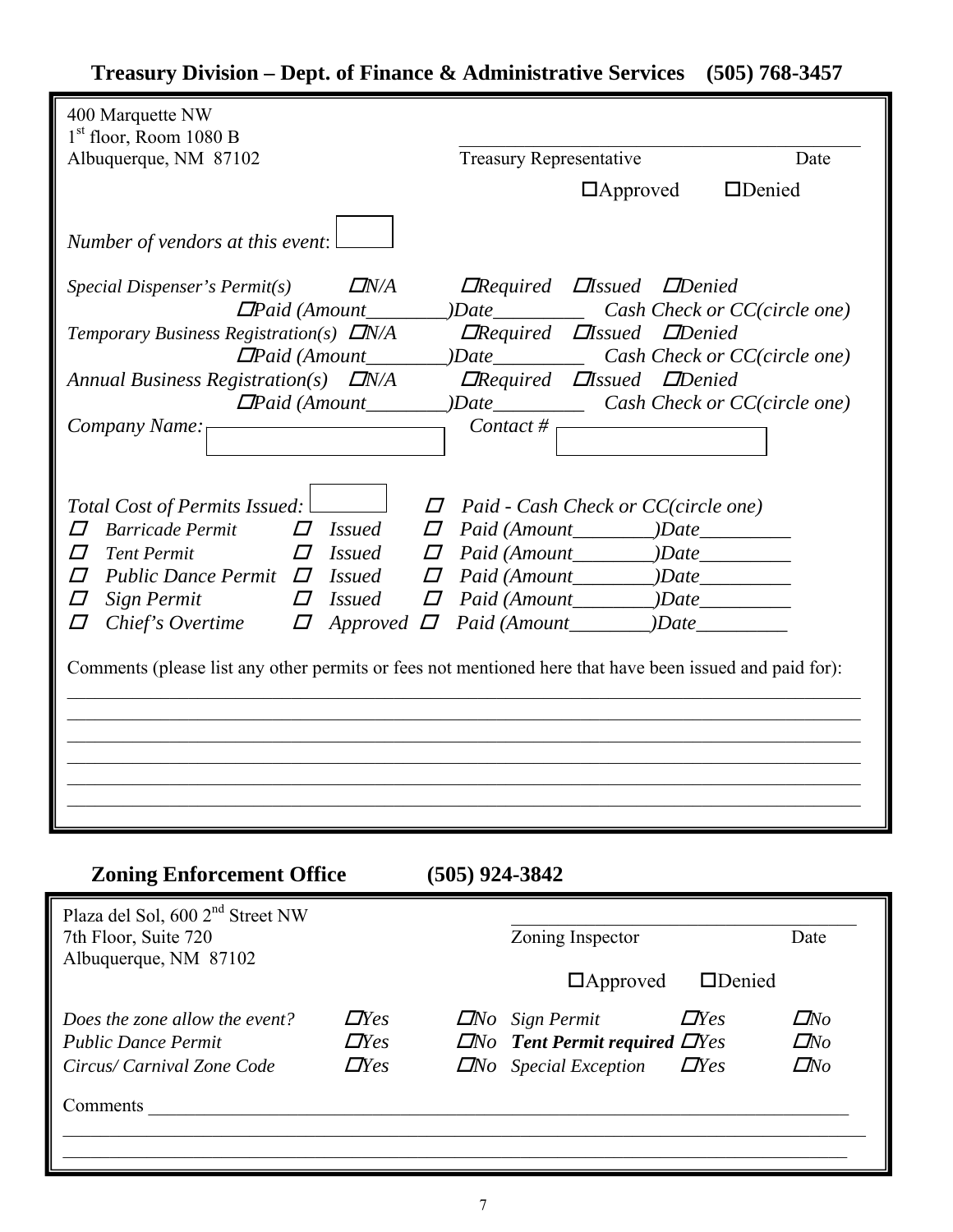## **Treasury Division – Dept. of Finance & Administrative Services (505) 768-3457**

| 400 Marquette NW<br>$1st$ floor, Room 1080 B                                                                                                                                                                                                                                                                           |                                                                                                                                                                                                                                                                                                                                    |
|------------------------------------------------------------------------------------------------------------------------------------------------------------------------------------------------------------------------------------------------------------------------------------------------------------------------|------------------------------------------------------------------------------------------------------------------------------------------------------------------------------------------------------------------------------------------------------------------------------------------------------------------------------------|
| Albuquerque, NM 87102                                                                                                                                                                                                                                                                                                  | <b>Treasury Representative</b><br>Date                                                                                                                                                                                                                                                                                             |
|                                                                                                                                                                                                                                                                                                                        | $\Box$ Denied<br>$\Box$ Approved                                                                                                                                                                                                                                                                                                   |
| Number of vendors at this event:                                                                                                                                                                                                                                                                                       |                                                                                                                                                                                                                                                                                                                                    |
| $\Box N/A$<br>$Special$ Dispenser's Permit(s)<br>Temporary Business Registration(s) $\Box N/A$<br>Annual Business Registration(s) $\Box N/A$<br>Company Name:                                                                                                                                                          | $\Box$ Required $\Box$ Issued $\Box$ Denied<br>$D$ Paid (Amount _________)Date _________________ Cash Check or CC(circle one)<br>$\Box$ Required $\Box$ Issued $\Box$ Denied<br>$D$ Paid (Amount _________)Date ________________ Cash Check or CC(circle one)<br>$\Box$ Required $\Box$ Issued $\Box$ Denied<br>Contact # $\vdash$ |
| <b>Contract Contract Contract</b><br><i>Total Cost of Permits Issued:</i> l<br><b>Barricade Permit</b><br><i>Issued</i><br>$\varpi$<br>$\Box$ Issued $\Box$<br><b>Tent Permit</b><br>O<br>Public Dance Permit $\Box$ Issued $\Box$<br>$\varOmega$<br>$\Box$ Issued $\Box$<br>Sign Permit<br>$\varOmega$<br>$\varOmega$ | $\Box$ Paid - Cash Check or CC(circle one)<br>$\Box$ Paid (Amount $Date$ )<br>Paid (Amount_________)Date________<br>Paid (Amount__________)Date_________<br>Comments (please list any other permits or fees not mentioned here that have been issued and paid for):                                                                |
| <b>Zoning Enforcement Office</b>                                                                                                                                                                                                                                                                                       | $(505)$ 924-3842                                                                                                                                                                                                                                                                                                                   |
| Plaza del Sol, 600 2 <sup>nd</sup> Street NW<br>7th Floor, Suite 720                                                                                                                                                                                                                                                   | Zoning Inspector<br>Date                                                                                                                                                                                                                                                                                                           |
| Albuquerque, NM 87102                                                                                                                                                                                                                                                                                                  | $\Box$ Approved<br>$\Box$ Denied                                                                                                                                                                                                                                                                                                   |
| $\Box$ Yes<br>Does the zone allow the event?<br>$\Box$ Yes<br><b>Public Dance Permit</b><br>$\Box$ Yes<br>Circus/ Carnival Zone Code                                                                                                                                                                                   | $\Box$ Yes<br>$\Box$ No<br>$\Box$ No Sign Permit<br>$\Box$ No Tent Permit required $\Box$ Yes<br>$\Box$ No<br>$\Box$ No Special Exception<br>$\Box$ Yes<br>$\varPi$ No                                                                                                                                                             |
| Comments                                                                                                                                                                                                                                                                                                               |                                                                                                                                                                                                                                                                                                                                    |

 $\mathcal{L}_\text{max} = \frac{1}{2} \sum_{i=1}^n \mathcal{L}_\text{max}(\mathbf{x}_i - \mathbf{y}_i)$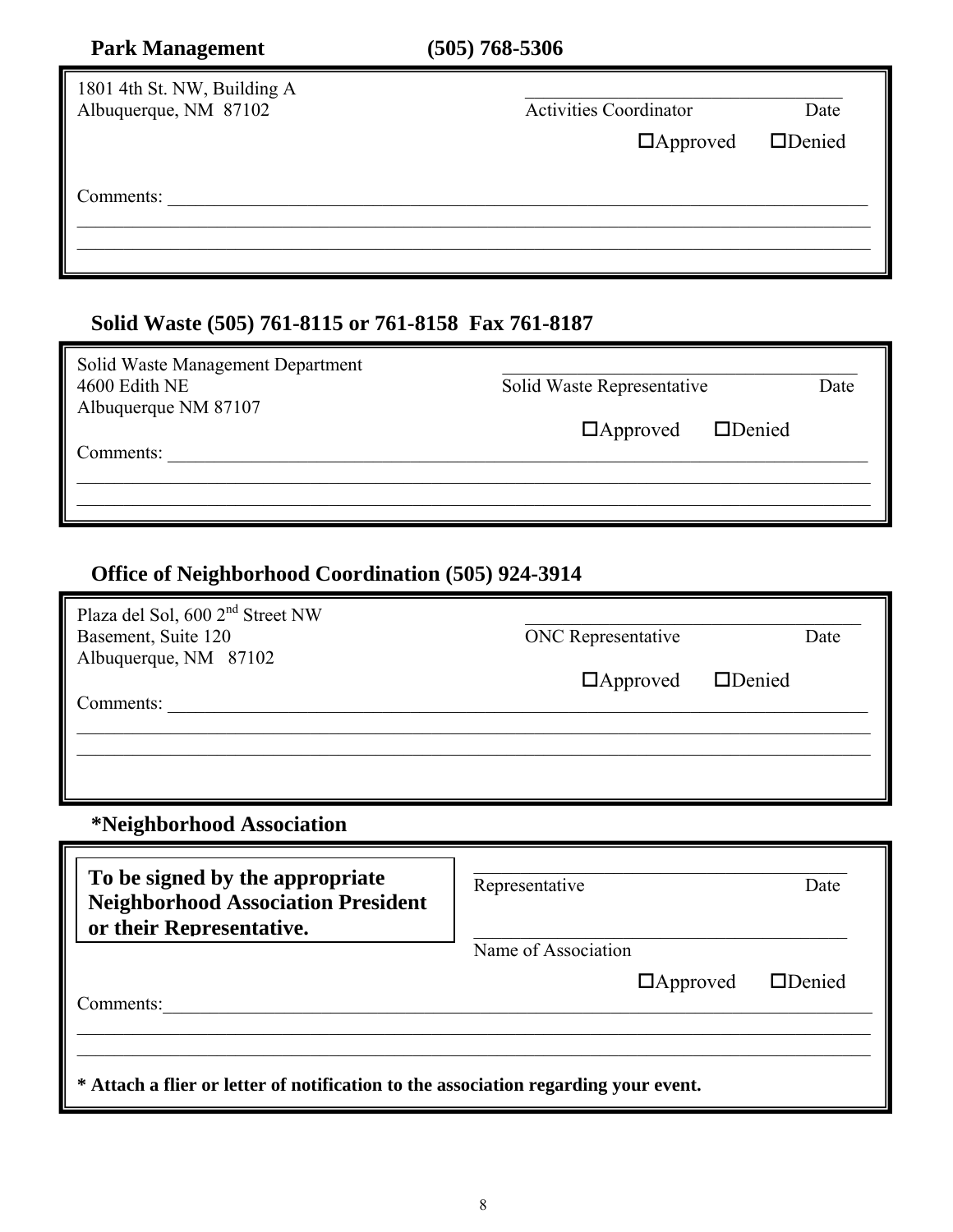## **Park Management (505) 768-5306**

| 1801 4th St. NW, Building A<br>Albuquerque, NM 87102 | <b>Activities Coordinator</b> | Date          |
|------------------------------------------------------|-------------------------------|---------------|
|                                                      | $\Box$ Approved               | $\Box$ Denied |
| Comments:                                            |                               |               |

## **Solid Waste (505) 761-8115 or 761-8158 Fax 761-8187**

| Solid Waste Management Department<br>4600 Edith NE | Solid Waste Representative       |  |
|----------------------------------------------------|----------------------------------|--|
| Albuquerque NM 87107<br>Comments:                  | $\Box$ Approved<br>$\Box$ Denied |  |
|                                                    |                                  |  |

## **Office of Neighborhood Coordination (505) 924-3914**

| <b>ONC</b> Representative<br>$\Box$ Approved | Date<br>$\Box$ Denied                                                                                                                           |
|----------------------------------------------|-------------------------------------------------------------------------------------------------------------------------------------------------|
|                                              |                                                                                                                                                 |
|                                              |                                                                                                                                                 |
|                                              |                                                                                                                                                 |
|                                              |                                                                                                                                                 |
|                                              |                                                                                                                                                 |
|                                              |                                                                                                                                                 |
|                                              |                                                                                                                                                 |
|                                              |                                                                                                                                                 |
|                                              |                                                                                                                                                 |
|                                              | Date                                                                                                                                            |
|                                              |                                                                                                                                                 |
|                                              |                                                                                                                                                 |
|                                              | $\Box$ Denied                                                                                                                                   |
|                                              |                                                                                                                                                 |
|                                              |                                                                                                                                                 |
|                                              |                                                                                                                                                 |
|                                              |                                                                                                                                                 |
|                                              | Representative<br>Name of Association<br>$\Box$ Approved<br>* Attach a flier or letter of notification to the association regarding your event. |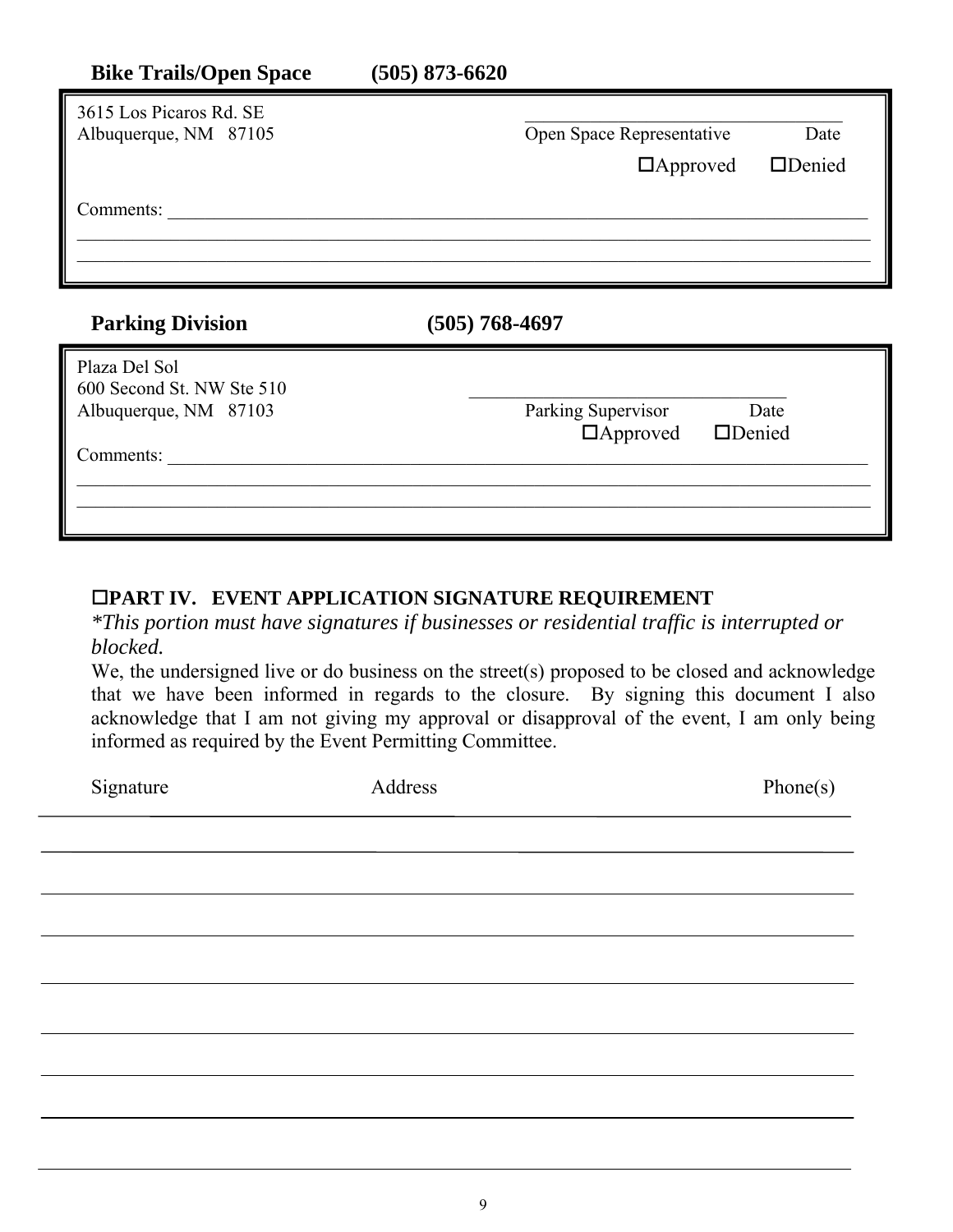| 3615 Los Picaros Rd. SE<br>Albuquerque, NM 87105 | Open Space Representative<br>$\Box$ Approved | Date<br>$\Box$ Denied |
|--------------------------------------------------|----------------------------------------------|-----------------------|
| Comments:                                        |                                              |                       |
| <b>Parking Division</b>                          | (505) 768-4697                               |                       |
| Plaza Del Sol<br>600 Second St. NW Ste 510       |                                              |                       |

| 000 SCCONG St. IN WASHI 210<br>Albuquerque, NM 87103 | Parking Supervisor<br>Date<br>$\Box$ Approved $\Box$ Denied |
|------------------------------------------------------|-------------------------------------------------------------|
| Comments:                                            |                                                             |
|                                                      |                                                             |
|                                                      |                                                             |

#### **PART IV. EVENT APPLICATION SIGNATURE REQUIREMENT**

*\*This portion must have signatures if businesses or residential traffic is interrupted or blocked.* 

We, the undersigned live or do business on the street(s) proposed to be closed and acknowledge that we have been informed in regards to the closure. By signing this document I also acknowledge that I am not giving my approval or disapproval of the event, I am only being informed as required by the Event Permitting Committee.

| Signature | Address | Phone(s) |
|-----------|---------|----------|
|           |         |          |
|           |         |          |
|           |         |          |
|           |         |          |
|           |         |          |
|           |         |          |
|           |         |          |
|           |         |          |